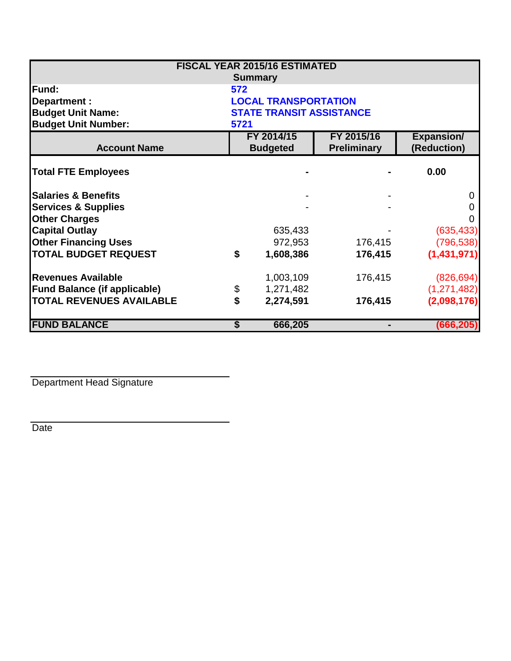|                                     |      | <b>FISCAL YEAR 2015/16 ESTIMATED</b> |                    |                   |  |
|-------------------------------------|------|--------------------------------------|--------------------|-------------------|--|
|                                     |      | <b>Summary</b>                       |                    |                   |  |
| <b>IFund:</b>                       | 572  |                                      |                    |                   |  |
| Department :                        |      | <b>LOCAL TRANSPORTATION</b>          |                    |                   |  |
| <b>Budget Unit Name:</b>            |      | <b>STATE TRANSIT ASSISTANCE</b>      |                    |                   |  |
| <b>Budget Unit Number:</b>          | 5721 |                                      |                    |                   |  |
|                                     |      | FY 2015/16<br>FY 2014/15             |                    | <b>Expansion/</b> |  |
| <b>Account Name</b>                 |      | <b>Budgeted</b>                      | <b>Preliminary</b> | (Reduction)       |  |
| <b>Total FTE Employees</b>          |      |                                      |                    | 0.00              |  |
| <b>Salaries &amp; Benefits</b>      |      |                                      |                    | 0                 |  |
| <b>Services &amp; Supplies</b>      |      |                                      |                    | 0                 |  |
| <b>Other Charges</b>                |      |                                      |                    | 0                 |  |
| <b>Capital Outlay</b>               |      | 635,433                              |                    | (635, 433)        |  |
| <b>Other Financing Uses</b>         |      | 972,953                              | 176,415            | (796, 538)        |  |
| <b>TOTAL BUDGET REQUEST</b>         | \$   | 1,608,386                            | 176,415            | (1,431,971)       |  |
| <b>Revenues Available</b>           |      | 1,003,109                            | 176,415            | (826, 694)        |  |
| <b>Fund Balance (if applicable)</b> | \$   | 1,271,482                            |                    | (1, 271, 482)     |  |
| <b>TOTAL REVENUES AVAILABLE</b>     | \$   | 2,274,591                            | 176,415            | (2,098,176)       |  |
| <b>FUND BALANCE</b>                 | \$   | 666,205                              |                    | (666, 205)        |  |

Department Head Signature

Date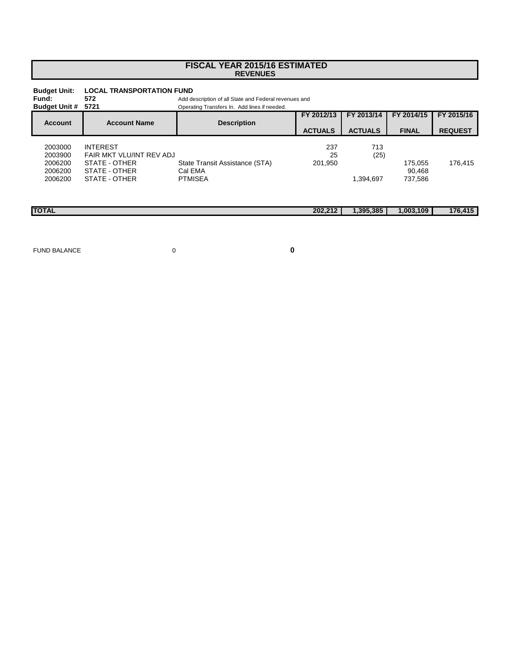## **FISCAL YEAR 2015/16 ESTIMATED REVENUES**

| <b>Budget Unit:</b><br>Fund:<br><b>Budget Unit #</b> | <b>LOCAL TRANSPORTATION FUND</b><br>572<br>5721                                                | Add description of all State and Federal revenues and<br>Operating Transfers In. Add lines if needed. |                              |                              |                              |                              |
|------------------------------------------------------|------------------------------------------------------------------------------------------------|-------------------------------------------------------------------------------------------------------|------------------------------|------------------------------|------------------------------|------------------------------|
| <b>Account</b>                                       | <b>Account Name</b>                                                                            | <b>Description</b>                                                                                    | FY 2012/13<br><b>ACTUALS</b> | FY 2013/14<br><b>ACTUALS</b> | FY 2014/15<br><b>FINAL</b>   | FY 2015/16<br><b>REQUEST</b> |
| 2003000<br>2003900<br>2006200<br>2006200<br>2006200  | <b>INTEREST</b><br>FAIR MKT VLU/INT REV ADJ<br>STATE - OTHER<br>STATE - OTHER<br>STATE - OTHER | State Transit Assistance (STA)<br>Cal EMA<br><b>PTMISEA</b>                                           | 237<br>25<br>201.950         | 713<br>(25)<br>1,394,697     | 175.055<br>90.468<br>737,586 | 176.415                      |
| <b>TOTAL</b>                                         |                                                                                                |                                                                                                       | 202,212                      | 1,395,385                    | 1,003,109                    | 176,415                      |

FUND BALANCE 0